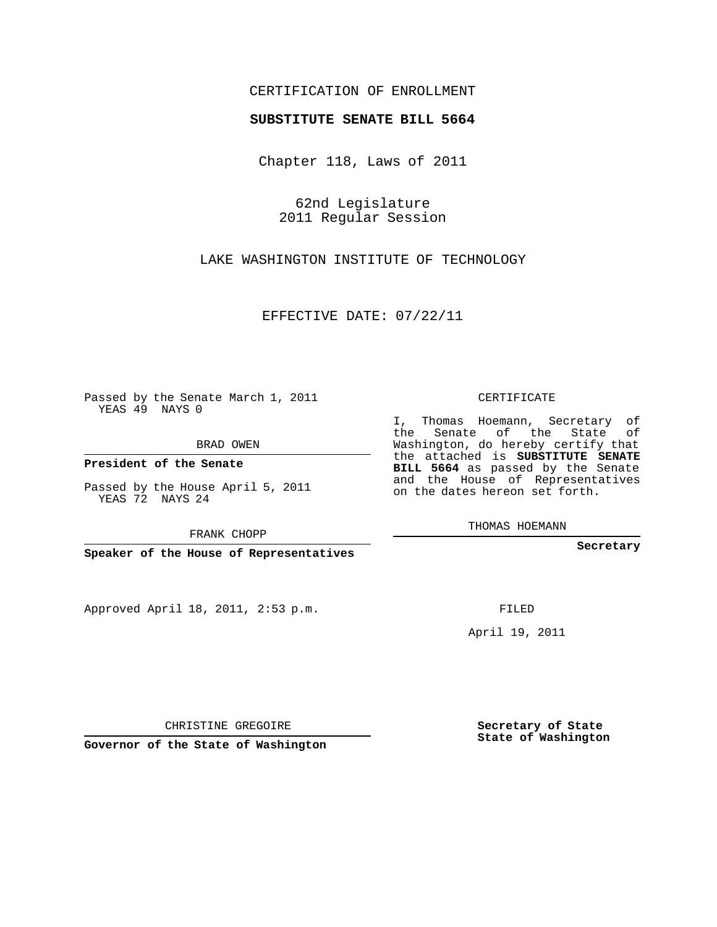## CERTIFICATION OF ENROLLMENT

## **SUBSTITUTE SENATE BILL 5664**

Chapter 118, Laws of 2011

62nd Legislature 2011 Regular Session

LAKE WASHINGTON INSTITUTE OF TECHNOLOGY

EFFECTIVE DATE: 07/22/11

**Contract Contract** 

Passed by the Senate March 1, 2011 YEAS 49 NAYS 0

BRAD OWEN

**President of the Senate**

Passed by the House April 5, 2011 YEAS 72 NAYS 24

FRANK CHOPP

**Speaker of the House of Representatives**

Approved April 18, 2011, 2:53 p.m.

CERTIFICATE

I, Thomas Hoemann, Secretary of the Senate of the State of Washington, do hereby certify that the attached is **SUBSTITUTE SENATE BILL 5664** as passed by the Senate and the House of Representatives on the dates hereon set forth.

THOMAS HOEMANN

**Secretary**

FILED

April 19, 2011

CHRISTINE GREGOIRE

**Governor of the State of Washington**

**Secretary of State State of Washington**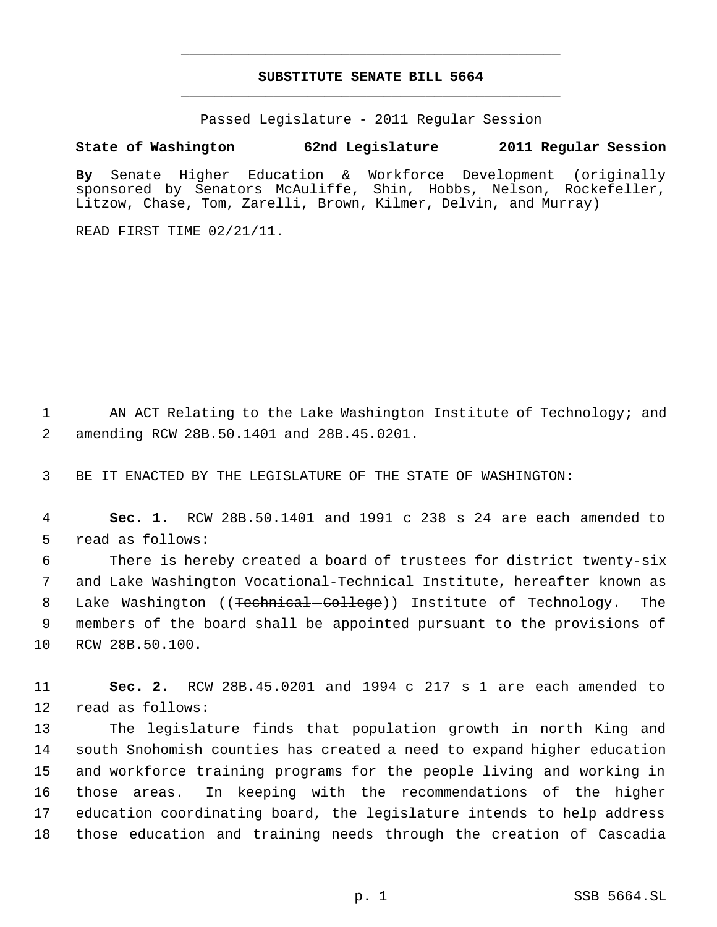## **SUBSTITUTE SENATE BILL 5664** \_\_\_\_\_\_\_\_\_\_\_\_\_\_\_\_\_\_\_\_\_\_\_\_\_\_\_\_\_\_\_\_\_\_\_\_\_\_\_\_\_\_\_\_\_

\_\_\_\_\_\_\_\_\_\_\_\_\_\_\_\_\_\_\_\_\_\_\_\_\_\_\_\_\_\_\_\_\_\_\_\_\_\_\_\_\_\_\_\_\_

Passed Legislature - 2011 Regular Session

## **State of Washington 62nd Legislature 2011 Regular Session**

**By** Senate Higher Education & Workforce Development (originally sponsored by Senators McAuliffe, Shin, Hobbs, Nelson, Rockefeller, Litzow, Chase, Tom, Zarelli, Brown, Kilmer, Delvin, and Murray)

READ FIRST TIME 02/21/11.

 AN ACT Relating to the Lake Washington Institute of Technology; and amending RCW 28B.50.1401 and 28B.45.0201.

BE IT ENACTED BY THE LEGISLATURE OF THE STATE OF WASHINGTON:

 **Sec. 1.** RCW 28B.50.1401 and 1991 c 238 s 24 are each amended to read as follows:

 There is hereby created a board of trustees for district twenty-six and Lake Washington Vocational-Technical Institute, hereafter known as 8 Lake Washington ((<del>Technical-College</del>)) <u>Institute\_of\_Technology</u>. The members of the board shall be appointed pursuant to the provisions of RCW 28B.50.100.

 **Sec. 2.** RCW 28B.45.0201 and 1994 c 217 s 1 are each amended to read as follows:

 The legislature finds that population growth in north King and south Snohomish counties has created a need to expand higher education and workforce training programs for the people living and working in those areas. In keeping with the recommendations of the higher education coordinating board, the legislature intends to help address those education and training needs through the creation of Cascadia